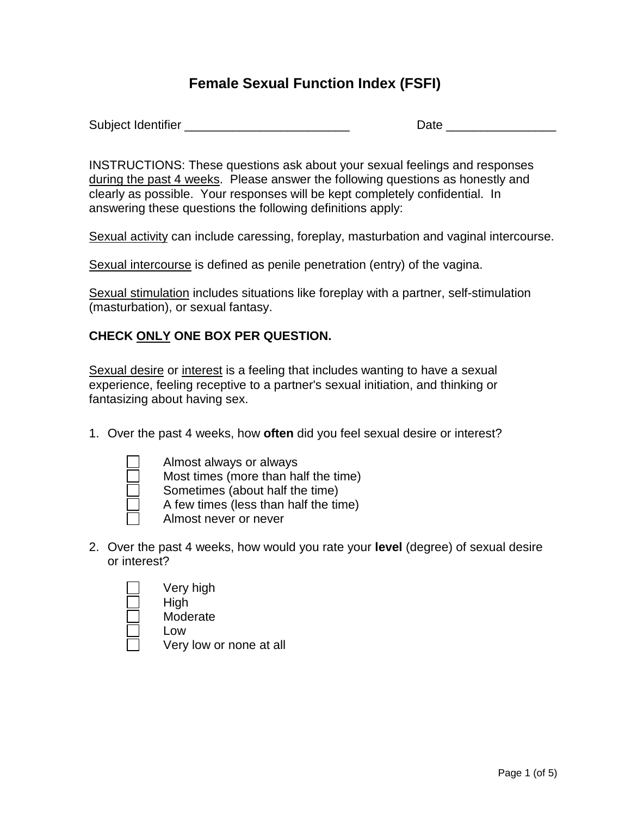## **Female Sexual Function Index (FSFI)**

Subject Identifier **Example 2018** Date **Date Date** 

INSTRUCTIONS: These questions ask about your sexual feelings and responses during the past 4 weeks. Please answer the following questions as honestly and clearly as possible. Your responses will be kept completely confidential.In answering these questions the following definitions apply:

Sexual activity can include caressing, foreplay, masturbation and vaginal intercourse.

Sexual intercourse is defined as penile penetration (entry) of the vagina.

Sexual stimulation includes situations like foreplay with a partner, self-stimulation (masturbation), or sexual fantasy.

## **CHECK ONLY ONE BOX PER QUESTION.**

Sexual desire or interest is a feeling that includes wanting to have a sexual experience, feeling receptive to a partner's sexual initiation, and thinking or fantasizing about having sex.

1. Over the past 4 weeks, how **often** did you feel sexual desire or interest?



Almost always or always Most times (more than half the time) Sometimes (about half the time) A few times (less than half the time) Almost never or never

2. Over the past 4 weeks, how would you rate your **level** (degree) of sexual desire or interest?



Moderate

Low

Very low or none at all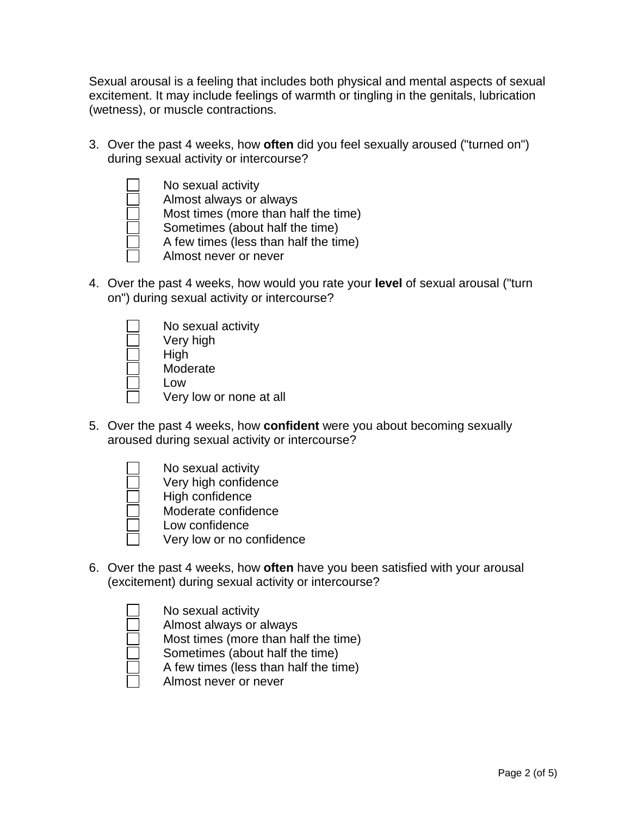Sexual arousal is a feeling that includes both physical and mental aspects of sexual excitement. It may include feelings of warmth or tingling in the genitals, lubrication (wetness), or muscle contractions.

3. Over the past 4 weeks, how **often** did you feel sexually aroused ("turned on") during sexual activity or intercourse?



4. Over the past 4 weeks, how would you rate your **level** of sexual arousal ("turn on") during sexual activity or intercourse?



5. Over the past 4 weeks, how **confident** were you about becoming sexually aroused during sexual activity or intercourse?



- Very high confidence
- High confidence
- Moderate confidence
	- Low confidence
	- Very low or no confidence
- 6. Over the past 4 weeks, how **often** have you been satisfied with your arousal (excitement) during sexual activity or intercourse?



Almost always or always

Most times (more than half the time)

- Sometimes (about half the time)
- A few times (less than half the time)
- Almost never or never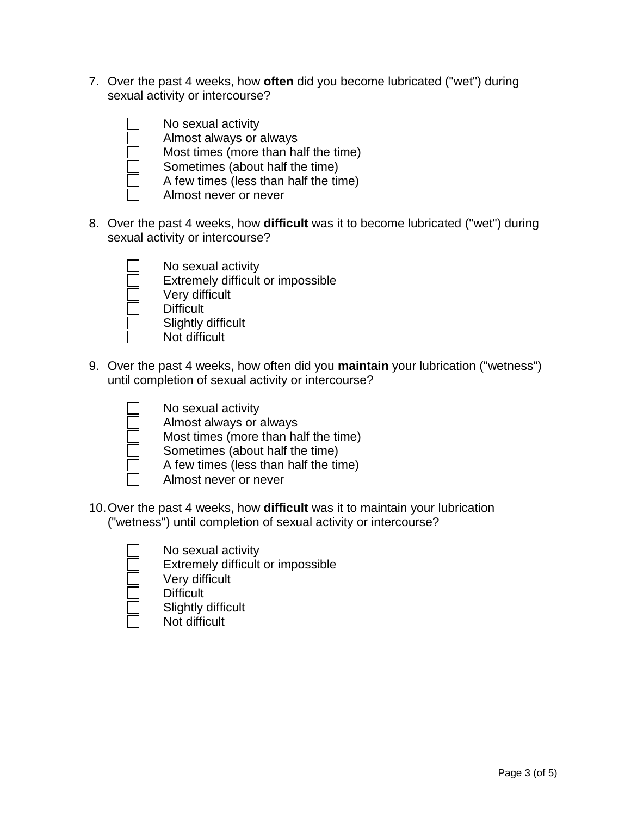7. Over the past 4 weeks, how **often** did you become lubricated ("wet") during sexual activity or intercourse?



8. Over the past 4 weeks, how **difficult** was it to become lubricated ("wet") during sexual activity or intercourse?



Extremely difficult or impossible Very difficult

No sexual activity

- **Difficult**
- Slightly difficult
- Not difficult
- 9. Over the past 4 weeks, how often did you **maintain** your lubrication ("wetness") until completion of sexual activity or intercourse?



- No sexual activity Almost always or always
- Most times (more than half the time)
- Sometimes (about half the time)
- 
- A few times (less than half the time)
- Almost never or never
- 10. Over the past 4 weeks, how **difficult** was it to maintain your lubrication ("wetness") until completion of sexual activity or intercourse?

- No sexual activity
- Extremely difficult or impossible
- Very difficult
- **Difficult**
- Slightly difficult
- Not difficult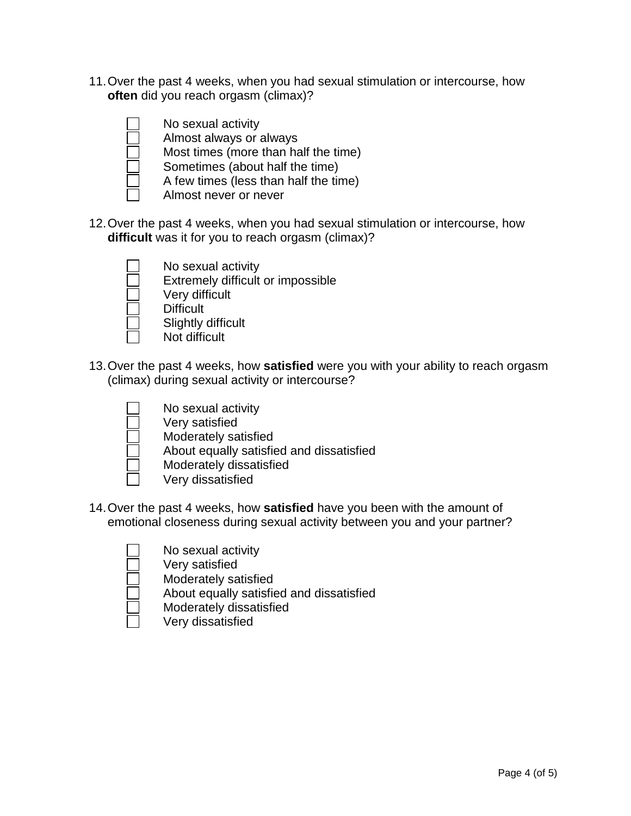11. Over the past 4 weeks, when you had sexual stimulation or intercourse, how **often** did you reach orgasm (climax)?



No sexual activity

- Almost always or always
- Most times (more than half the time)
- Sometimes (about half the time)
- A few times (less than half the time)
- Almost never or never
- 12. Over the past 4 weeks, when you had sexual stimulation or intercourse, how **difficult** was it for you to reach orgasm (climax)?



- No sexual activity
- Extremely difficult or impossible
- Very difficult
- **Difficult** 
	- Slightly difficult
	- Not difficult
- 13. Over the past 4 weeks, how **satisfied** were you with your ability to reach orgasm (climax) during sexual activity or intercourse?



- No sexual activity
- Very satisfied
- Moderately satisfied
- About equally satisfied and dissatisfied
- Moderately dissatisfied
- Very dissatisfied
- 14. Over the past 4 weeks, how **satisfied** have you been with the amount of emotional closeness during sexual activity between you and your partner?





Very satisfied



- About equally satisfied and dissatisfied
- Moderately dissatisfied

Moderately satisfied

Very dissatisfied